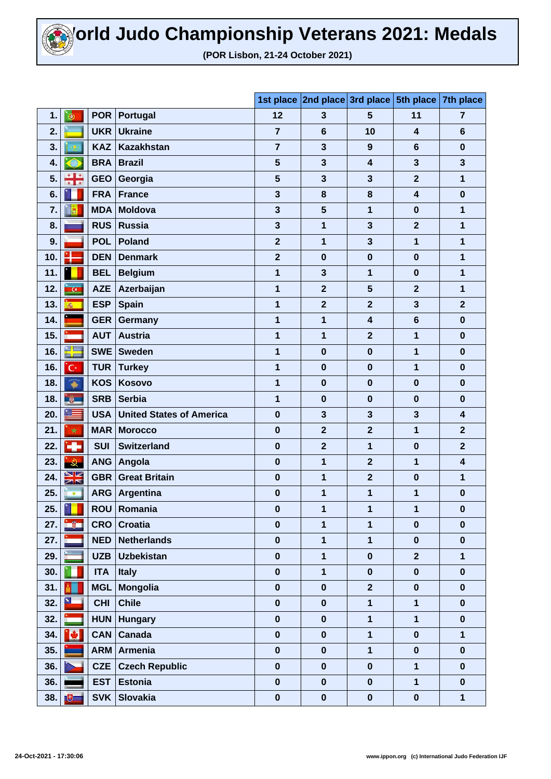

**(POR Lisbon, 21-24 October 2021)**

|     |                |            |                                 |                | 1st place 2nd place 3rd place |                         | 5th place 7th place     |                         |
|-----|----------------|------------|---------------------------------|----------------|-------------------------------|-------------------------|-------------------------|-------------------------|
| 1.  | $\bullet$      | <b>POR</b> | Portugal                        | 12             | 3                             | 5                       | 11                      | $\overline{7}$          |
| 2.  |                | <b>UKR</b> | <b>Ukraine</b>                  | 7              | $6\phantom{1}6$               | 10                      | 4                       | $6\phantom{1}$          |
| 3.  |                | <b>KAZ</b> | <b>Kazakhstan</b>               | 7              | $\mathbf{3}$                  | 9                       | 6                       | $\bf{0}$                |
| 4.  | ♠              | <b>BRA</b> | <b>Brazil</b>                   | 5              | $\mathbf{3}$                  | $\overline{\mathbf{4}}$ | 3                       | $\mathbf{3}$            |
| 5.  | 음운             | <b>GEO</b> | Georgia                         | 5              | $\mathbf{3}$                  | $\mathbf{3}$            | $\overline{2}$          | 1                       |
| 6.  |                | <b>FRA</b> | <b>France</b>                   | 3              | 8                             | 8                       | $\overline{\mathbf{4}}$ | $\bf{0}$                |
| 7.  | <b>R</b>       | <b>MDA</b> | <b>Moldova</b>                  | 3              | 5                             | $\overline{\mathbf{1}}$ | $\bf{0}$                | 1                       |
| 8.  |                | <b>RUS</b> | <b>Russia</b>                   | 3              | 1                             | $\mathbf{3}$            | $\overline{2}$          | 1                       |
| 9.  |                | <b>POL</b> | <b>Poland</b>                   | $\mathbf{2}$   | 1                             | $\mathbf{3}$            | 1                       | 1                       |
| 10. | ч              | <b>DEN</b> | <b>Denmark</b>                  | $\overline{2}$ | $\bf{0}$                      | $\bf{0}$                | $\bf{0}$                | 1                       |
| 11. |                | <b>BEL</b> | <b>Belgium</b>                  | 1              | $\mathbf{3}$                  | 1                       | $\bf{0}$                | 1                       |
| 12. | $\overline{G}$ | <b>AZE</b> | Azerbaijan                      | 1              | $\overline{\mathbf{2}}$       | 5                       | $\overline{2}$          | 1                       |
| 13. | $\vec{m}_i$ .  | <b>ESP</b> | <b>Spain</b>                    | 1              | $\overline{2}$                | $\overline{2}$          | 3                       | $\overline{2}$          |
| 14. |                | <b>GER</b> | Germany                         | 1              | 1                             | 4                       | $6\phantom{1}6$         | $\bf{0}$                |
| 15. | <u>e and</u>   | <b>AUT</b> | <b>Austria</b>                  | 1              | 1                             | $\mathbf{2}$            | 1                       | $\bf{0}$                |
| 16. | ₩              | <b>SWE</b> | <b>Sweden</b>                   | 1              | $\bf{0}$                      | $\bf{0}$                | 1                       | $\bf{0}$                |
| 16. | 'C·            | <b>TUR</b> | <b>Turkey</b>                   | 1              | $\bf{0}$                      | $\bf{0}$                | 1                       | $\bf{0}$                |
| 18. | ₩              | <b>KOS</b> | Kosovo                          | 1              | $\bf{0}$                      | $\bf{0}$                | $\bf{0}$                | $\bf{0}$                |
| 18. | <b>W</b>       | <b>SRB</b> | <b>Serbia</b>                   | 1              | $\bf{0}$                      | $\bf{0}$                | $\bf{0}$                | $\bf{0}$                |
| 20. | ▓              | <b>USA</b> | <b>United States of America</b> | $\bf{0}$       | $\mathbf{3}$                  | $\mathbf{3}$            | 3                       | $\overline{\mathbf{4}}$ |
| 21. | ŵ              | <b>MAR</b> | <b>Morocco</b>                  | $\bf{0}$       | $\mathbf{2}$                  | $\mathbf{2}$            | 1                       | $\mathbf{2}$            |
| 22. | ÷              | <b>SUI</b> | <b>Switzerland</b>              | $\bf{0}$       | $\overline{2}$                | 1                       | $\bf{0}$                | $\overline{\mathbf{2}}$ |
| 23. | $\mathbf{R}$   | <b>ANG</b> | Angola                          | $\bf{0}$       | 1                             | $\overline{2}$          | 1                       | $\overline{\mathbf{4}}$ |
| 24. | XK             | <b>GBR</b> | <b>Great Britain</b>            | $\bf{0}$       | 1                             | $\overline{\mathbf{2}}$ | $\bf{0}$                | 1                       |
| 25. | $\bullet$      | <b>ARG</b> | Argentina                       | $\bf{0}$       | 1                             | 1                       | 1                       | $\bf{0}$                |
| 25. | m              | <b>ROU</b> | Romania                         | $\pmb{0}$      | 1                             | 1                       | 1                       | $\pmb{0}$               |
| 27. | ing n          | <b>CRO</b> | <b>Croatia</b>                  | $\pmb{0}$      | $\mathbf{1}$                  | $\mathbf{1}$            | $\bf{0}$                | $\bf{0}$                |
| 27. |                | <b>NED</b> | <b>Netherlands</b>              | $\mathbf 0$    | $\mathbf{1}$                  | $\overline{\mathbf{1}}$ | $\mathbf 0$             | $\bf{0}$                |
| 29. |                | <b>UZB</b> | <b>Uzbekistan</b>               | $\mathbf 0$    | $\mathbf{1}$                  | $\mathbf 0$             | $\overline{2}$          | $\mathbf{1}$            |
| 30. |                | <b>ITA</b> | <b>Italy</b>                    | $\pmb{0}$      | $\mathbf{1}$                  | $\bf{0}$                | $\mathbf 0$             | $\bf{0}$                |
| 31. |                | <b>MGL</b> | <b>Mongolia</b>                 | $\mathbf 0$    | $\pmb{0}$                     | $\overline{2}$          | $\boldsymbol{0}$        | $\bf{0}$                |
| 32. | $\mathbf{x}$   | <b>CHI</b> | <b>Chile</b>                    | $\pmb{0}$      | $\pmb{0}$                     | $\mathbf{1}$            | $\mathbf{1}$            | $\mathbf 0$             |
| 32. |                | <b>HUN</b> | <b>Hungary</b>                  | $\pmb{0}$      | $\pmb{0}$                     | $\mathbf{1}$            | $\mathbf{1}$            | $\pmb{0}$               |
| 34. | ١O.            | <b>CAN</b> | Canada                          | $\bf{0}$       | $\boldsymbol{0}$              | 1                       | $\mathbf 0$             | $\mathbf{1}$            |
| 35. |                | <b>ARM</b> | Armenia                         | $\mathbf 0$    | $\bf{0}$                      | $\mathbf{1}$            | $\mathbf 0$             | $\mathbf 0$             |
| 36. |                | <b>CZE</b> | <b>Czech Republic</b>           | $\pmb{0}$      | $\bf{0}$                      | $\bf{0}$                | $\mathbf 1$             | $\bf{0}$                |
| 36. |                | <b>EST</b> | <b>Estonia</b>                  | $\mathbf 0$    | $\mathbf 0$                   | $\bf{0}$                | $\mathbf{1}$            | $\bf{0}$                |
| 38. | $\mathbf{E}$   | <b>SVK</b> | <b>Slovakia</b>                 | $\pmb{0}$      | $\pmb{0}$                     | $\mathbf 0$             | $\pmb{0}$               | $\mathbf{1}$            |